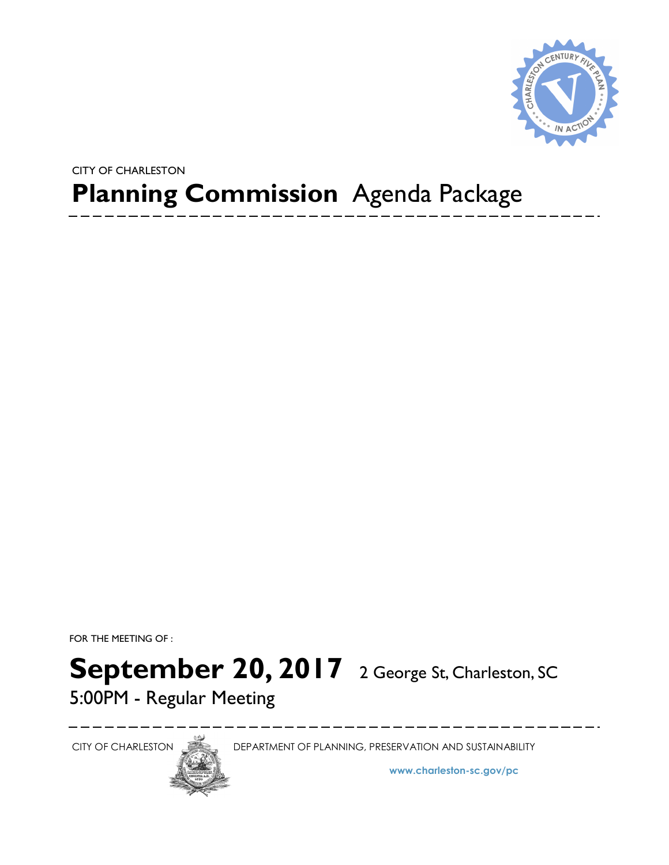

## **Planning Commission** Agenda Package CITY OF CHARLESTON

FOR THE MEETING OF :

# September 20, 2017 2 George St, Charleston, SC

5:00PM - Regular Meeting



CITY OF CHARLESTON DEPARTMENT OF PLANNING, PRESERVATION AND SUSTAINABILITY

**www.charleston-sc.gov/pc**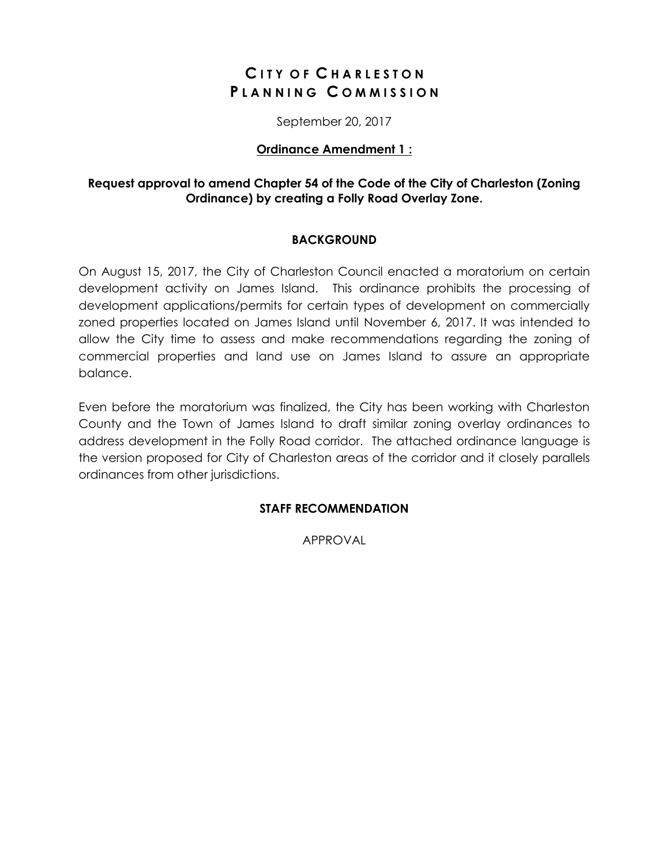### **C I T Y O F C H A R L E S T O N P L A N N I N G C O M M I S S I O N**

September 20, 2017

#### **Ordinance Amendment 1 :**

#### **Request approval to amend Chapter 54 of the Code of the City of Charleston (Zoning Ordinance) by creating a Folly Road Overlay Zone.**

#### **BACKGROUND**

On August 15, 2017, the City of Charleston Council enacted a moratorium on certain development activity on James Island. This ordinance prohibits the processing of development applications/permits for certain types of development on commercially zoned properties located on James Island until November 6, 2017. It was intended to allow the City time to assess and make recommendations regarding the zoning of commercial properties and land use on James Island to assure an appropriate balance.

Even before the moratorium was finalized, the City has been working with Charleston County and the Town of James Island to draft similar zoning overlay ordinances to address development in the Folly Road corridor. The attached ordinance language is the version proposed for City of Charleston areas of the corridor and it closely parallels ordinances from other jurisdictions.

#### **STAFF RECOMMENDATION**

APPROVAL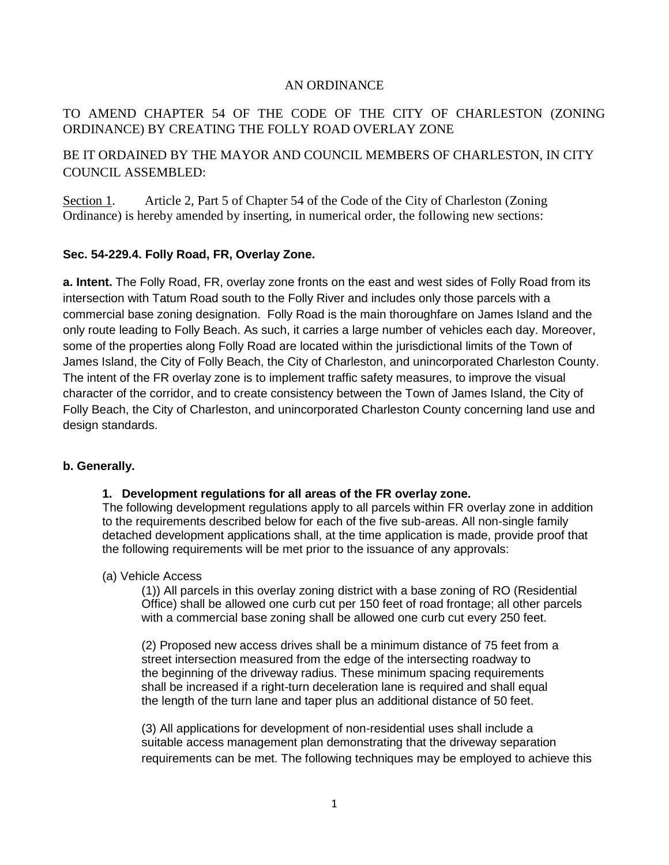#### AN ORDINANCE

#### TO AMEND CHAPTER 54 OF THE CODE OF THE CITY OF CHARLESTON (ZONING ORDINANCE) BY CREATING THE FOLLY ROAD OVERLAY ZONE

BE IT ORDAINED BY THE MAYOR AND COUNCIL MEMBERS OF CHARLESTON, IN CITY COUNCIL ASSEMBLED:

Section 1. Article 2, Part 5 of Chapter 54 of the Code of the City of Charleston (Zoning Ordinance) is hereby amended by inserting, in numerical order, the following new sections:

#### **Sec. 54-229.4. Folly Road, FR, Overlay Zone.**

**a. Intent.** The Folly Road, FR, overlay zone fronts on the east and west sides of Folly Road from its intersection with Tatum Road south to the Folly River and includes only those parcels with a commercial base zoning designation. Folly Road is the main thoroughfare on James Island and the only route leading to Folly Beach. As such, it carries a large number of vehicles each day. Moreover, some of the properties along Folly Road are located within the jurisdictional limits of the Town of James Island, the City of Folly Beach, the City of Charleston, and unincorporated Charleston County. The intent of the FR overlay zone is to implement traffic safety measures, to improve the visual character of the corridor, and to create consistency between the Town of James Island, the City of Folly Beach, the City of Charleston, and unincorporated Charleston County concerning land use and design standards.

#### **b. Generally.**

#### **1. Development regulations for all areas of the FR overlay zone.**

The following development regulations apply to all parcels within FR overlay zone in addition to the requirements described below for each of the five sub-areas. All non-single family detached development applications shall, at the time application is made, provide proof that the following requirements will be met prior to the issuance of any approvals:

#### (a) Vehicle Access

(1)) All parcels in this overlay zoning district with a base zoning of RO (Residential Office) shall be allowed one curb cut per 150 feet of road frontage; all other parcels with a commercial base zoning shall be allowed one curb cut every 250 feet.

(2) Proposed new access drives shall be a minimum distance of 75 feet from a street intersection measured from the edge of the intersecting roadway to the beginning of the driveway radius. These minimum spacing requirements shall be increased if a right-turn deceleration lane is required and shall equal the length of the turn lane and taper plus an additional distance of 50 feet.

(3) All applications for development of non-residential uses shall include a suitable access management plan demonstrating that the driveway separation requirements can be met. The following techniques may be employed to achieve this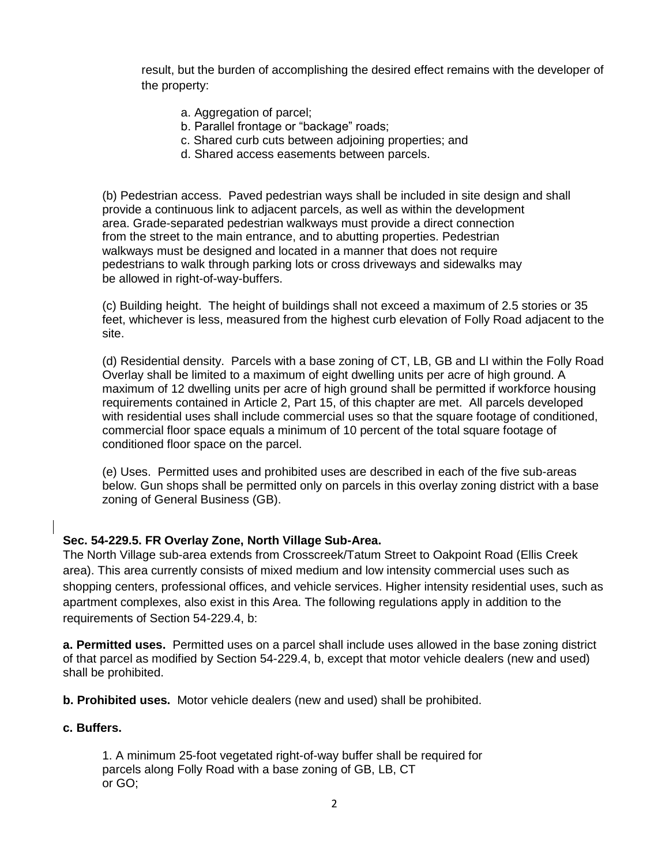result, but the burden of accomplishing the desired effect remains with the developer of the property:

- a. Aggregation of parcel;
- b. Parallel frontage or "backage" roads;
- c. Shared curb cuts between adjoining properties; and
- d. Shared access easements between parcels.

(b) Pedestrian access. Paved pedestrian ways shall be included in site design and shall provide a continuous link to adjacent parcels, as well as within the development area. Grade-separated pedestrian walkways must provide a direct connection from the street to the main entrance, and to abutting properties. Pedestrian walkways must be designed and located in a manner that does not require pedestrians to walk through parking lots or cross driveways and sidewalks may be allowed in right-of-way-buffers.

(c) Building height.The height of buildings shall not exceed a maximum of 2.5 stories or 35 feet, whichever is less, measured from the highest curb elevation of Folly Road adjacent to the site.

(d) Residential density. Parcels with a base zoning of CT, LB, GB and LI within the Folly Road Overlay shall be limited to a maximum of eight dwelling units per acre of high ground. A maximum of 12 dwelling units per acre of high ground shall be permitted if workforce housing requirements contained in Article 2, Part 15, of this chapter are met. All parcels developed with residential uses shall include commercial uses so that the square footage of conditioned, commercial floor space equals a minimum of 10 percent of the total square footage of conditioned floor space on the parcel.

(e) Uses. Permitted uses and prohibited uses are described in each of the five sub-areas below. Gun shops shall be permitted only on parcels in this overlay zoning district with a base zoning of General Business (GB).

#### **Sec. 54-229.5. FR Overlay Zone, North Village Sub-Area.**

The North Village sub-area extends from Crosscreek/Tatum Street to Oakpoint Road (Ellis Creek area). This area currently consists of mixed medium and low intensity commercial uses such as shopping centers, professional offices, and vehicle services. Higher intensity residential uses, such as apartment complexes, also exist in this Area. The following regulations apply in addition to the requirements of Section 54-229.4, b:

**a. Permitted uses.** Permitted uses on a parcel shall include uses allowed in the base zoning district of that parcel as modified by Section 54-229.4, b, except that motor vehicle dealers (new and used) shall be prohibited.

**b. Prohibited uses.** Motor vehicle dealers (new and used) shall be prohibited.

#### **c. Buffers.**

1. A minimum 25-foot vegetated right-of-way buffer shall be required for parcels along Folly Road with a base zoning of GB, LB, CT or GO;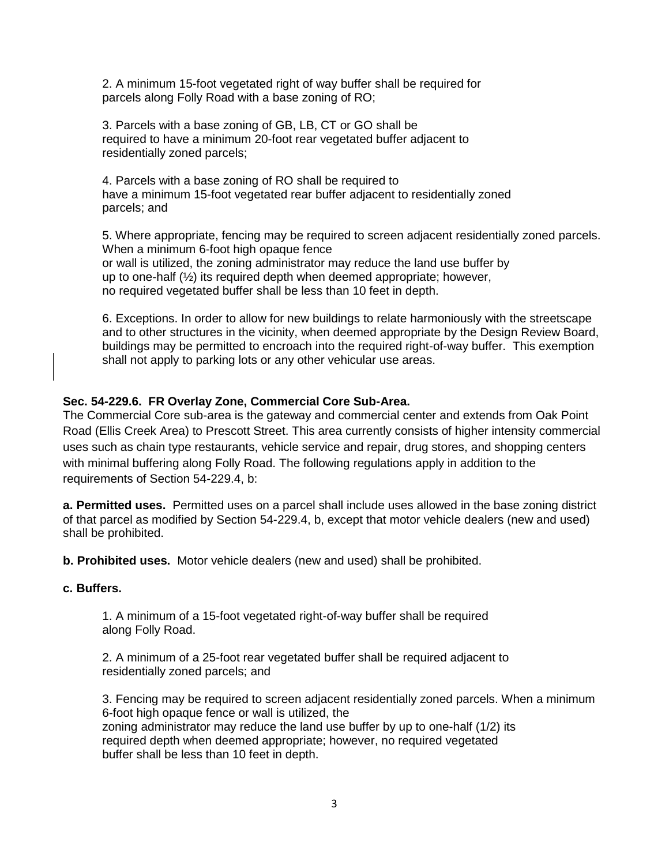2. A minimum 15-foot vegetated right of way buffer shall be required for parcels along Folly Road with a base zoning of RO;

3. Parcels with a base zoning of GB, LB, CT or GO shall be required to have a minimum 20-foot rear vegetated buffer adjacent to residentially zoned parcels;

4. Parcels with a base zoning of RO shall be required to have a minimum 15-foot vegetated rear buffer adjacent to residentially zoned parcels; and

5. Where appropriate, fencing may be required to screen adjacent residentially zoned parcels. When a minimum 6-foot high opaque fence or wall is utilized, the zoning administrator may reduce the land use buffer by up to one-half (½) its required depth when deemed appropriate; however, no required vegetated buffer shall be less than 10 feet in depth.

6. Exceptions. In order to allow for new buildings to relate harmoniously with the streetscape and to other structures in the vicinity, when deemed appropriate by the Design Review Board, buildings may be permitted to encroach into the required right-of-way buffer. This exemption shall not apply to parking lots or any other vehicular use areas.

#### **Sec. 54-229.6. FR Overlay Zone, Commercial Core Sub-Area.**

The Commercial Core sub-area is the gateway and commercial center and extends from Oak Point Road (Ellis Creek Area) to Prescott Street. This area currently consists of higher intensity commercial uses such as chain type restaurants, vehicle service and repair, drug stores, and shopping centers with minimal buffering along Folly Road. The following regulations apply in addition to the requirements of Section 54-229.4, b:

**a. Permitted uses.** Permitted uses on a parcel shall include uses allowed in the base zoning district of that parcel as modified by Section 54-229.4, b, except that motor vehicle dealers (new and used) shall be prohibited.

**b. Prohibited uses.** Motor vehicle dealers (new and used) shall be prohibited.

#### **c. Buffers.**

1. A minimum of a 15-foot vegetated right-of-way buffer shall be required along Folly Road.

2. A minimum of a 25-foot rear vegetated buffer shall be required adjacent to residentially zoned parcels; and

3. Fencing may be required to screen adjacent residentially zoned parcels. When a minimum 6-foot high opaque fence or wall is utilized, the zoning administrator may reduce the land use buffer by up to one-half (1/2) its required depth when deemed appropriate; however, no required vegetated buffer shall be less than 10 feet in depth.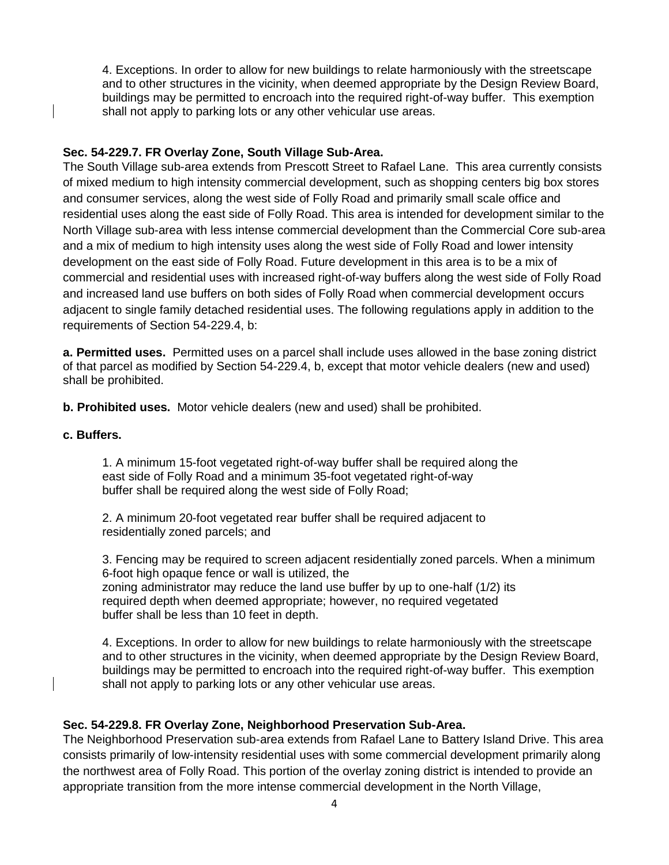4. Exceptions. In order to allow for new buildings to relate harmoniously with the streetscape and to other structures in the vicinity, when deemed appropriate by the Design Review Board, buildings may be permitted to encroach into the required right-of-way buffer. This exemption shall not apply to parking lots or any other vehicular use areas.

#### **Sec. 54-229.7. FR Overlay Zone, South Village Sub-Area.**

The South Village sub-area extends from Prescott Street to Rafael Lane. This area currently consists of mixed medium to high intensity commercial development, such as shopping centers big box stores and consumer services, along the west side of Folly Road and primarily small scale office and residential uses along the east side of Folly Road. This area is intended for development similar to the North Village sub-area with less intense commercial development than the Commercial Core sub-area and a mix of medium to high intensity uses along the west side of Folly Road and lower intensity development on the east side of Folly Road. Future development in this area is to be a mix of commercial and residential uses with increased right-of-way buffers along the west side of Folly Road and increased land use buffers on both sides of Folly Road when commercial development occurs adjacent to single family detached residential uses. The following regulations apply in addition to the requirements of Section 54-229.4, b:

**a. Permitted uses.** Permitted uses on a parcel shall include uses allowed in the base zoning district of that parcel as modified by Section 54-229.4, b, except that motor vehicle dealers (new and used) shall be prohibited.

**b. Prohibited uses.** Motor vehicle dealers (new and used) shall be prohibited.

#### **c. Buffers.**

1. A minimum 15-foot vegetated right-of-way buffer shall be required along the east side of Folly Road and a minimum 35-foot vegetated right-of-way buffer shall be required along the west side of Folly Road;

2. A minimum 20-foot vegetated rear buffer shall be required adjacent to residentially zoned parcels; and

3. Fencing may be required to screen adjacent residentially zoned parcels. When a minimum 6-foot high opaque fence or wall is utilized, the zoning administrator may reduce the land use buffer by up to one-half (1/2) its required depth when deemed appropriate; however, no required vegetated buffer shall be less than 10 feet in depth.

4. Exceptions. In order to allow for new buildings to relate harmoniously with the streetscape and to other structures in the vicinity, when deemed appropriate by the Design Review Board, buildings may be permitted to encroach into the required right-of-way buffer. This exemption shall not apply to parking lots or any other vehicular use areas.

#### **Sec. 54-229.8. FR Overlay Zone, Neighborhood Preservation Sub-Area.**

The Neighborhood Preservation sub-area extends from Rafael Lane to Battery Island Drive. This area consists primarily of low-intensity residential uses with some commercial development primarily along the northwest area of Folly Road. This portion of the overlay zoning district is intended to provide an appropriate transition from the more intense commercial development in the North Village,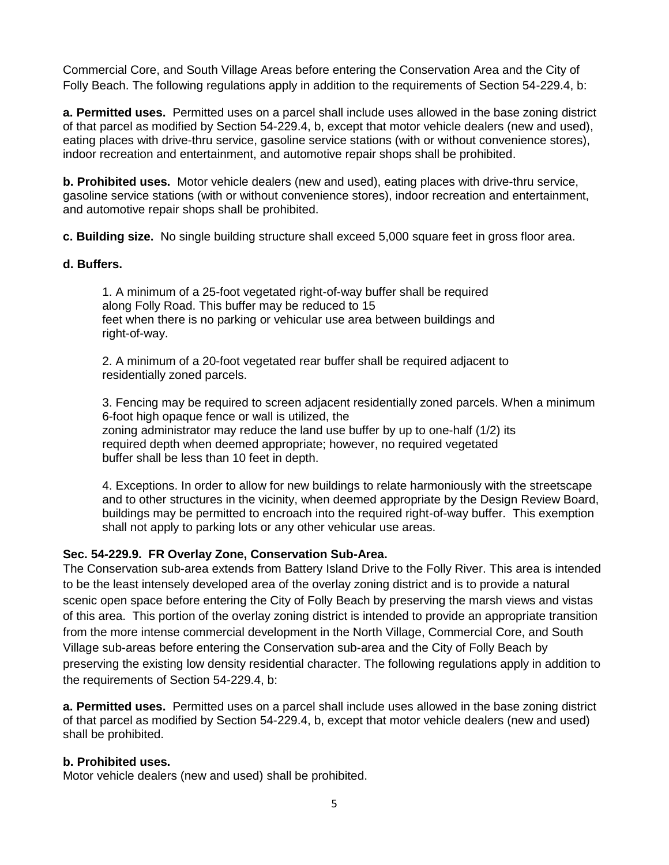Commercial Core, and South Village Areas before entering the Conservation Area and the City of Folly Beach. The following regulations apply in addition to the requirements of Section 54-229.4, b:

**a. Permitted uses.** Permitted uses on a parcel shall include uses allowed in the base zoning district of that parcel as modified by Section 54-229.4, b, except that motor vehicle dealers (new and used), eating places with drive-thru service, gasoline service stations (with or without convenience stores), indoor recreation and entertainment, and automotive repair shops shall be prohibited.

**b. Prohibited uses.** Motor vehicle dealers (new and used), eating places with drive-thru service, gasoline service stations (with or without convenience stores), indoor recreation and entertainment, and automotive repair shops shall be prohibited.

**c. Building size.** No single building structure shall exceed 5,000 square feet in gross floor area.

#### **d. Buffers.**

1. A minimum of a 25-foot vegetated right-of-way buffer shall be required along Folly Road. This buffer may be reduced to 15 feet when there is no parking or vehicular use area between buildings and right-of-way.

2. A minimum of a 20-foot vegetated rear buffer shall be required adjacent to residentially zoned parcels.

3. Fencing may be required to screen adjacent residentially zoned parcels. When a minimum 6-foot high opaque fence or wall is utilized, the zoning administrator may reduce the land use buffer by up to one-half (1/2) its required depth when deemed appropriate; however, no required vegetated buffer shall be less than 10 feet in depth.

4. Exceptions. In order to allow for new buildings to relate harmoniously with the streetscape and to other structures in the vicinity, when deemed appropriate by the Design Review Board, buildings may be permitted to encroach into the required right-of-way buffer. This exemption shall not apply to parking lots or any other vehicular use areas.

#### **Sec. 54-229.9. FR Overlay Zone, Conservation Sub-Area.**

The Conservation sub-area extends from Battery Island Drive to the Folly River. This area is intended to be the least intensely developed area of the overlay zoning district and is to provide a natural scenic open space before entering the City of Folly Beach by preserving the marsh views and vistas of this area. This portion of the overlay zoning district is intended to provide an appropriate transition from the more intense commercial development in the North Village, Commercial Core, and South Village sub-areas before entering the Conservation sub-area and the City of Folly Beach by preserving the existing low density residential character. The following regulations apply in addition to the requirements of Section 54-229.4, b:

**a. Permitted uses.** Permitted uses on a parcel shall include uses allowed in the base zoning district of that parcel as modified by Section 54-229.4, b, except that motor vehicle dealers (new and used) shall be prohibited.

#### **b. Prohibited uses.**

Motor vehicle dealers (new and used) shall be prohibited.